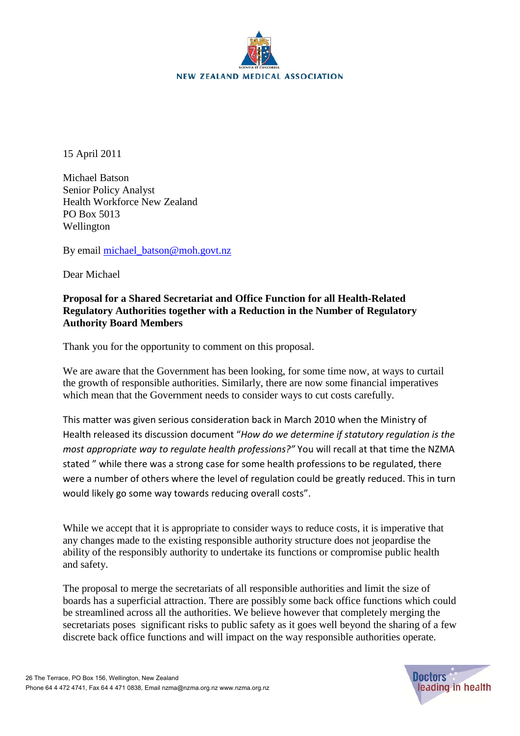

15 April 2011

Michael Batson Senior Policy Analyst Health Workforce New Zealand PO Box 5013 Wellington

By email [michael\\_batson@moh.govt.nz](mailto:michael_batson@moh.govt.nz)

Dear Michael

## **Proposal for a Shared Secretariat and Office Function for all Health-Related Regulatory Authorities together with a Reduction in the Number of Regulatory Authority Board Members**

Thank you for the opportunity to comment on this proposal.

We are aware that the Government has been looking, for some time now, at ways to curtail the growth of responsible authorities. Similarly, there are now some financial imperatives which mean that the Government needs to consider ways to cut costs carefully.

This matter was given serious consideration back in March 2010 when the Ministry of Health released its discussion document "*How do we determine if statutory regulation is the most appropriate way to regulate health professions?"* You will recall at that time the NZMA stated " while there was a strong case for some health professions to be regulated, there were a number of others where the level of regulation could be greatly reduced. This in turn would likely go some way towards reducing overall costs".

While we accept that it is appropriate to consider ways to reduce costs, it is imperative that any changes made to the existing responsible authority structure does not jeopardise the ability of the responsibly authority to undertake its functions or compromise public health and safety.

The proposal to merge the secretariats of all responsible authorities and limit the size of boards has a superficial attraction. There are possibly some back office functions which could be streamlined across all the authorities. We believe however that completely merging the secretariats poses significant risks to public safety as it goes well beyond the sharing of a few discrete back office functions and will impact on the way responsible authorities operate.

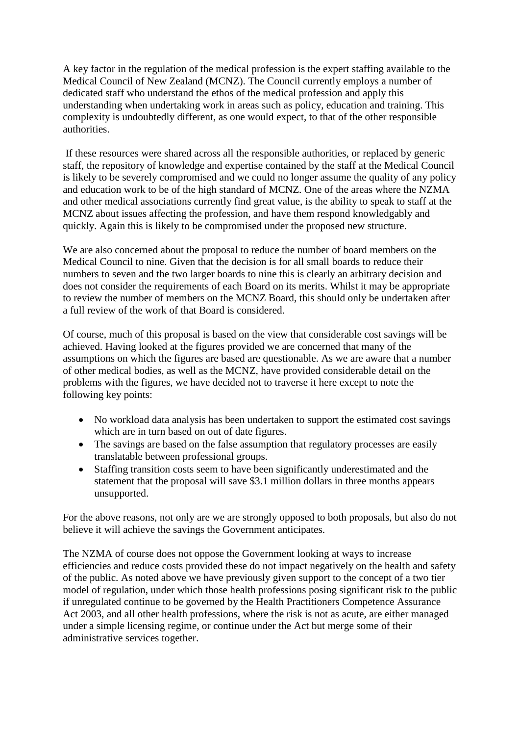A key factor in the regulation of the medical profession is the expert staffing available to the Medical Council of New Zealand (MCNZ). The Council currently employs a number of dedicated staff who understand the ethos of the medical profession and apply this understanding when undertaking work in areas such as policy, education and training. This complexity is undoubtedly different, as one would expect, to that of the other responsible authorities.

If these resources were shared across all the responsible authorities, or replaced by generic staff, the repository of knowledge and expertise contained by the staff at the Medical Council is likely to be severely compromised and we could no longer assume the quality of any policy and education work to be of the high standard of MCNZ. One of the areas where the NZMA and other medical associations currently find great value, is the ability to speak to staff at the MCNZ about issues affecting the profession, and have them respond knowledgably and quickly. Again this is likely to be compromised under the proposed new structure.

We are also concerned about the proposal to reduce the number of board members on the Medical Council to nine. Given that the decision is for all small boards to reduce their numbers to seven and the two larger boards to nine this is clearly an arbitrary decision and does not consider the requirements of each Board on its merits. Whilst it may be appropriate to review the number of members on the MCNZ Board, this should only be undertaken after a full review of the work of that Board is considered.

Of course, much of this proposal is based on the view that considerable cost savings will be achieved. Having looked at the figures provided we are concerned that many of the assumptions on which the figures are based are questionable. As we are aware that a number of other medical bodies, as well as the MCNZ, have provided considerable detail on the problems with the figures, we have decided not to traverse it here except to note the following key points:

- No workload data analysis has been undertaken to support the estimated cost savings which are in turn based on out of date figures.
- The savings are based on the false assumption that regulatory processes are easily translatable between professional groups.
- Staffing transition costs seem to have been significantly underestimated and the statement that the proposal will save \$3.1 million dollars in three months appears unsupported.

For the above reasons, not only are we are strongly opposed to both proposals, but also do not believe it will achieve the savings the Government anticipates.

The NZMA of course does not oppose the Government looking at ways to increase efficiencies and reduce costs provided these do not impact negatively on the health and safety of the public. As noted above we have previously given support to the concept of a two tier model of regulation, under which those health professions posing significant risk to the public if unregulated continue to be governed by the Health Practitioners Competence Assurance Act 2003, and all other health professions, where the risk is not as acute, are either managed under a simple licensing regime, or continue under the Act but merge some of their administrative services together.